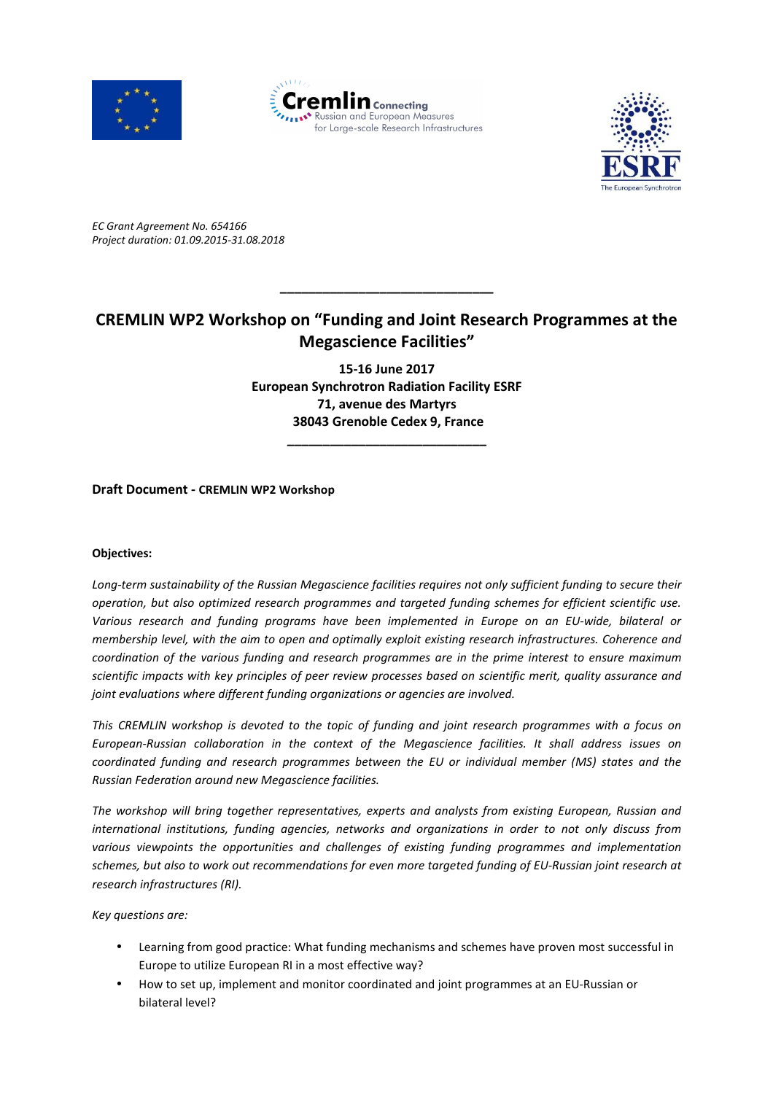





*EC Grant Agreement No. 654166 Project duration: 01.09.2015-31.08.2018* 

## **CREMLIN WP2 Workshop on "Funding and Joint Research Programmes at the Megascience Facilities"**

**\_\_\_\_\_\_\_\_\_\_\_\_\_\_\_\_\_\_\_\_\_\_\_\_\_\_\_\_\_\_** 

**15-16 June 2017 European Synchrotron Radiation Facility ESRF 71, avenue des Martyrs 38043 Grenoble Cedex 9, France** 

**\_\_\_\_\_\_\_\_\_\_\_\_\_\_\_\_\_\_\_\_\_\_\_\_\_\_\_\_**

**Draft Document - CREMLIN WP2 Workshop**

## **Objectives:**

*Long-term sustainability of the Russian Megascience facilities requires not only sufficient funding to secure their operation, but also optimized research programmes and targeted funding schemes for efficient scientific use. Various research and funding programs have been implemented in Europe on an EU-wide, bilateral or membership level, with the aim to open and optimally exploit existing research infrastructures. Coherence and coordination of the various funding and research programmes are in the prime interest to ensure maximum scientific impacts with key principles of peer review processes based on scientific merit, quality assurance and joint evaluations where different funding organizations or agencies are involved.* 

*This CREMLIN workshop is devoted to the topic of funding and joint research programmes with a focus on European-Russian collaboration in the context of the Megascience facilities. It shall address issues on coordinated funding and research programmes between the EU or individual member (MS) states and the Russian Federation around new Megascience facilities.* 

*The workshop will bring together representatives, experts and analysts from existing European, Russian and international institutions, funding agencies, networks and organizations in order to not only discuss from various viewpoints the opportunities and challenges of existing funding programmes and implementation schemes, but also to work out recommendations for even more targeted funding of EU-Russian joint research at research infrastructures (RI).* 

*Key questions are:* 

- Learning from good practice: What funding mechanisms and schemes have proven most successful in Europe to utilize European RI in a most effective way?
- How to set up, implement and monitor coordinated and joint programmes at an EU-Russian or bilateral level?